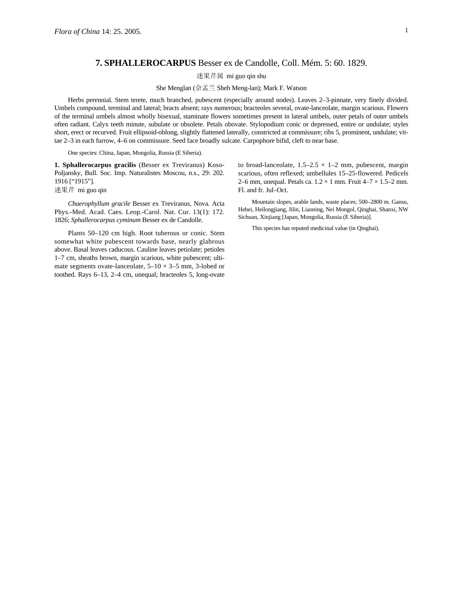## **7. SPHALLEROCARPUS** Besser ex de Candolle, Coll. Mém. 5: 60. 1829.

迷果芹属 mi guo qin shu

She Menglan (佘孟兰 Sheh Meng-lan); Mark F. Watson

Herbs perennial. Stem terete, much branched, pubescent (especially around nodes). Leaves 2–3-pinnate, very finely divided. Umbels compound, terminal and lateral; bracts absent; rays numerous; bracteoles several, ovate-lanceolate, margin scarious. Flowers of the terminal umbels almost wholly bisexual, staminate flowers sometimes present in lateral umbels, outer petals of outer umbels often radiant. Calyx teeth minute, subulate or obsolete. Petals obovate. Stylopodium conic or depressed, entire or undulate; styles short, erect or recurved. Fruit ellipsoid-oblong, slightly flattened laterally, constricted at commissure; ribs 5, prominent, undulate; vittae 2–3 in each furrow, 4–6 on commissure. Seed face broadly sulcate. Carpophore bifid, cleft to near base.

One species: China, Japan, Mongolia, Russia (E Siberia).

**1. Sphallerocarpus gracilis** (Besser ex Treviranus) Koso-Poljansky, Bull. Soc. Imp. Naturalistes Moscou, n.s., 29: 202. 1916 ["1915"].

迷果芹 mi guo qin

*Chaerophyllum gracile* Besser ex Treviranus, Nova. Acta Phys.-Med. Acad. Caes. Leop.-Carol. Nat. Cur. 13(1): 172. 1826; *Sphallerocarpus cyminum* Besser ex de Candolle.

Plants 50–120 cm high. Root tuberous or conic. Stem somewhat white pubescent towards base, nearly glabrous above. Basal leaves caducous. Cauline leaves petiolate; petioles 1–7 cm, sheaths brown, margin scarious, white pubescent; ultimate segments ovate-lanceolate,  $5-10 \times 3-5$  mm, 3-lobed or toothed. Rays 6–13, 2–4 cm, unequal; bracteoles 5, long-ovate

to broad-lanceolate,  $1.5-2.5 \times 1-2$  mm, pubescent, margin scarious, often reflexed; umbellules 15–25-flowered. Pedicels 2–6 mm, unequal. Petals ca.  $1.2 \times 1$  mm. Fruit  $4-7 \times 1.5-2$  mm. Fl. and fr. Jul–Oct.

Mountain slopes, arable lands, waste places; 500–2800 m. Gansu, Hebei, Heilongjiang, Jilin, Liaoning, Nei Mongol, Qinghai, Shanxi, NW Sichuan, Xinjiang [Japan, Mongolia, Russia (E Siberia)].

This species has reputed medicinal value (in Qinghai).